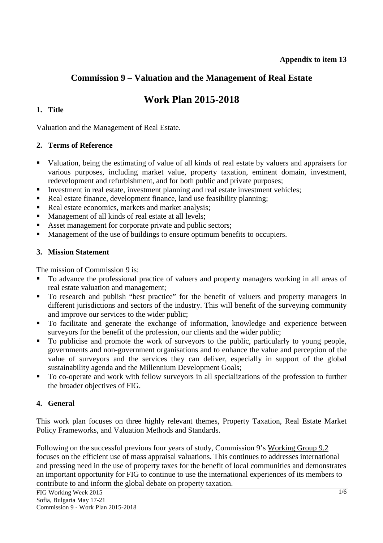## **Commission 9 – Valuation and the Management of Real Estate**

# **Work Plan 2015-2018**

## **1. Title**

Valuation and the Management of Real Estate.

#### **2. Terms of Reference**

- Valuation, being the estimating of value of all kinds of real estate by valuers and appraisers for various purposes, including market value, property taxation, eminent domain, investment, redevelopment and refurbishment, and for both public and private purposes;
- Investment in real estate, investment planning and real estate investment vehicles;
- Real estate finance, development finance, land use feasibility planning;
- Real estate economics, markets and market analysis;
- Management of all kinds of real estate at all levels;
- Asset management for corporate private and public sectors;
- **Management of the use of buildings to ensure optimum benefits to occupiers.**

## **3. Mission Statement**

The mission of Commission 9 is:

- To advance the professional practice of valuers and property managers working in all areas of real estate valuation and management;
- To research and publish "best practice" for the benefit of valuers and property managers in different jurisdictions and sectors of the industry. This will benefit of the surveying community and improve our services to the wider public;
- To facilitate and generate the exchange of information, knowledge and experience between surveyors for the benefit of the profession, our clients and the wider public;
- To publicise and promote the work of surveyors to the public, particularly to young people, governments and non-government organisations and to enhance the value and perception of the value of surveyors and the services they can deliver, especially in support of the global sustainability agenda and the Millennium Development Goals;
- To co-operate and work with fellow surveyors in all specializations of the profession to further the broader objectives of FIG.

## **4. General**

This work plan focuses on three highly relevant themes, Property Taxation, Real Estate Market Policy Frameworks, and Valuation Methods and Standards.

Following on the successful previous four years of study, Commission 9's Working Group 9.2 focuses on the efficient use of mass appraisal valuations. This continues to addresses international and pressing need in the use of property taxes for the benefit of local communities and demonstrates an important opportunity for FIG to continue to use the international experiences of its members to contribute to and inform the global debate on property taxation.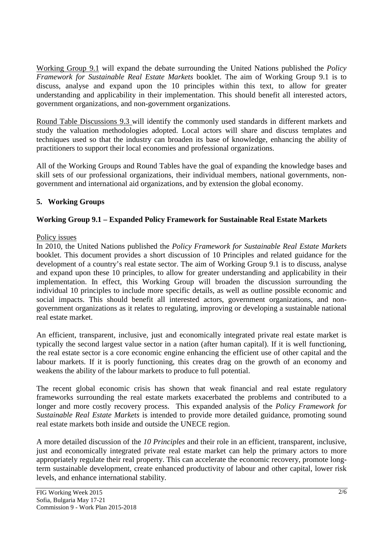Working Group 9.1 will expand the debate surrounding the United Nations published the *Policy Framework for Sustainable Real Estate Markets* booklet. The aim of Working Group 9.1 is to discuss, analyse and expand upon the 10 principles within this text, to allow for greater understanding and applicability in their implementation. This should benefit all interested actors, government organizations, and non-government organizations.

Round Table Discussions 9.3 will identify the commonly used standards in different markets and study the valuation methodologies adopted. Local actors will share and discuss templates and techniques used so that the industry can broaden its base of knowledge, enhancing the ability of practitioners to support their local economies and professional organizations.

All of the Working Groups and Round Tables have the goal of expanding the knowledge bases and skill sets of our professional organizations, their individual members, national governments, nongovernment and international aid organizations, and by extension the global economy.

## **5. Working Groups**

## **Working Group 9.1 – Expanded Policy Framework for Sustainable Real Estate Markets**

#### Policy issues

In 2010, the United Nations published the *Policy Framework for Sustainable Real Estate Markets* booklet. This document provides a short discussion of 10 Principles and related guidance for the development of a country's real estate sector. The aim of Working Group 9.1 is to discuss, analyse and expand upon these 10 principles, to allow for greater understanding and applicability in their implementation. In effect, this Working Group will broaden the discussion surrounding the individual 10 principles to include more specific details, as well as outline possible economic and social impacts. This should benefit all interested actors, government organizations, and nongovernment organizations as it relates to regulating, improving or developing a sustainable national real estate market.

An efficient, transparent, inclusive, just and economically integrated private real estate market is typically the second largest value sector in a nation (after human capital). If it is well functioning, the real estate sector is a core economic engine enhancing the efficient use of other capital and the labour markets. If it is poorly functioning, this creates drag on the growth of an economy and weakens the ability of the labour markets to produce to full potential.

The recent global economic crisis has shown that weak financial and real estate regulatory frameworks surrounding the real estate markets exacerbated the problems and contributed to a longer and more costly recovery process. This expanded analysis of the *Policy Framework for Sustainable Real Estate Markets* is intended to provide more detailed guidance, promoting sound real estate markets both inside and outside the UNECE region.

A more detailed discussion of the *10 Principles* and their role in an efficient, transparent, inclusive, just and economically integrated private real estate market can help the primary actors to more appropriately regulate their real property. This can accelerate the economic recovery, promote longterm sustainable development, create enhanced productivity of labour and other capital, lower risk levels, and enhance international stability.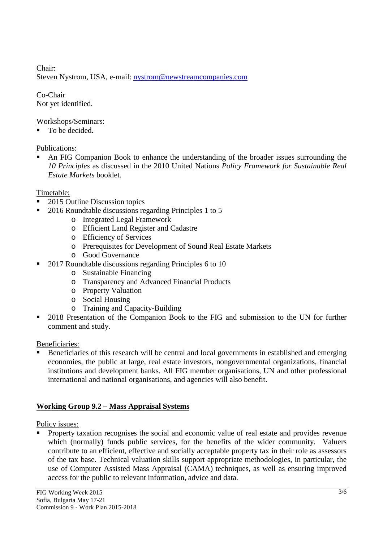Chair: Steven Nystrom, USA, e-mail: nystrom@newstreamcompanies.com

Co-Chair Not yet identified.

Workshops/Seminars:

To be decided**.** 

## Publications:

 An FIG Companion Book to enhance the understanding of the broader issues surrounding the *10 Principles* as discussed in the 2010 United Nations *Policy Framework for Sustainable Real Estate Markets* booklet.

## Timetable:

- 2015 Outline Discussion topics
- <sup>2016</sup> Roundtable discussions regarding Principles 1 to 5
	- o Integrated Legal Framework
	- o Efficient Land Register and Cadastre
	- o Efficiency of Services
	- o Prerequisites for Development of Sound Real Estate Markets
	- o Good Governance
- 2017 Roundtable discussions regarding Principles 6 to 10
	- o Sustainable Financing
	- o Transparency and Advanced Financial Products
	- o Property Valuation
	- o Social Housing
	- o Training and Capacity-Building
- 2018 Presentation of the Companion Book to the FIG and submission to the UN for further comment and study.

#### Beneficiaries:

 Beneficiaries of this research will be central and local governments in established and emerging economies, the public at large, real estate investors, nongovernmental organizations, financial institutions and development banks. All FIG member organisations, UN and other professional international and national organisations, and agencies will also benefit.

## **Working Group 9.2 – Mass Appraisal Systems**

#### Policy issues:

 Property taxation recognises the social and economic value of real estate and provides revenue which (normally) funds public services, for the benefits of the wider community. Valuers contribute to an efficient, effective and socially acceptable property tax in their role as assessors of the tax base. Technical valuation skills support appropriate methodologies, in particular, the use of Computer Assisted Mass Appraisal (CAMA) techniques, as well as ensuring improved access for the public to relevant information, advice and data.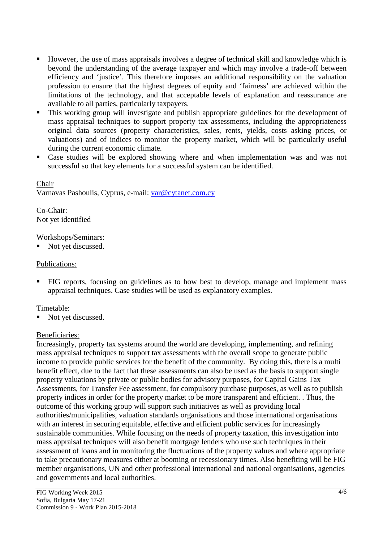- However, the use of mass appraisals involves a degree of technical skill and knowledge which is beyond the understanding of the average taxpayer and which may involve a trade-off between efficiency and 'justice'. This therefore imposes an additional responsibility on the valuation profession to ensure that the highest degrees of equity and 'fairness' are achieved within the limitations of the technology, and that acceptable levels of explanation and reassurance are available to all parties, particularly taxpayers.
- This working group will investigate and publish appropriate guidelines for the development of mass appraisal techniques to support property tax assessments, including the appropriateness original data sources (property characteristics, sales, rents, yields, costs asking prices, or valuations) and of indices to monitor the property market, which will be particularly useful during the current economic climate.
- Case studies will be explored showing where and when implementation was and was not successful so that key elements for a successful system can be identified.

#### Chair

Varnavas Pashoulis, Cyprus, e-mail: var@cytanet.com.cy

Co-Chair: Not yet identified

#### Workshops/Seminars:

Not yet discussed.

#### Publications:

 FIG reports, focusing on guidelines as to how best to develop, manage and implement mass appraisal techniques. Case studies will be used as explanatory examples.

#### Timetable:

Not yet discussed.

#### Beneficiaries:

Increasingly, property tax systems around the world are developing, implementing, and refining mass appraisal techniques to support tax assessments with the overall scope to generate public income to provide public services for the benefit of the community. By doing this, there is a multi benefit effect, due to the fact that these assessments can also be used as the basis to support single property valuations by private or public bodies for advisory purposes, for Capital Gains Tax Assessments, for Transfer Fee assessment, for compulsory purchase purposes, as well as to publish property indices in order for the property market to be more transparent and efficient. . Thus, the outcome of this working group will support such initiatives as well as providing local authorities/municipalities, valuation standards organisations and those international organisations with an interest in securing equitable, effective and efficient public services for increasingly sustainable communities. While focusing on the needs of property taxation, this investigation into mass appraisal techniques will also benefit mortgage lenders who use such techniques in their assessment of loans and in monitoring the fluctuations of the property values and where appropriate to take precautionary measures either at booming or recessionary times. Also benefiting will be FIG member organisations, UN and other professional international and national organisations, agencies and governments and local authorities.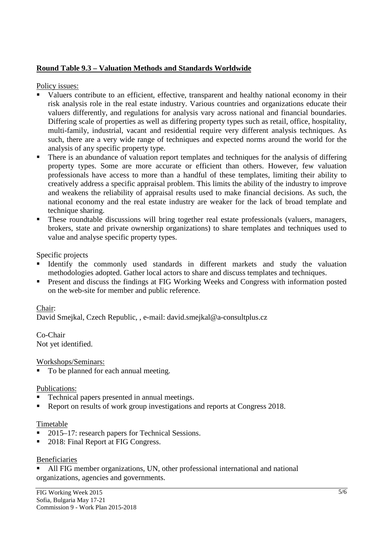#### **Round Table 9.3 – Valuation Methods and Standards Worldwide**

Policy issues:

- Valuers contribute to an efficient, effective, transparent and healthy national economy in their risk analysis role in the real estate industry. Various countries and organizations educate their valuers differently, and regulations for analysis vary across national and financial boundaries. Differing scale of properties as well as differing property types such as retail, office, hospitality, multi-family, industrial, vacant and residential require very different analysis techniques. As such, there are a very wide range of techniques and expected norms around the world for the analysis of any specific property type.
- There is an abundance of valuation report templates and techniques for the analysis of differing property types. Some are more accurate or efficient than others. However, few valuation professionals have access to more than a handful of these templates, limiting their ability to creatively address a specific appraisal problem. This limits the ability of the industry to improve and weakens the reliability of appraisal results used to make financial decisions. As such, the national economy and the real estate industry are weaker for the lack of broad template and technique sharing.
- These roundtable discussions will bring together real estate professionals (valuers, managers, brokers, state and private ownership organizations) to share templates and techniques used to value and analyse specific property types.

Specific projects

- Identify the commonly used standards in different markets and study the valuation methodologies adopted. Gather local actors to share and discuss templates and techniques.
- Present and discuss the findings at FIG Working Weeks and Congress with information posted on the web-site for member and public reference.

#### Chair:

David Smejkal, Czech Republic, , e-mail: david.smejkal@a-consultplus.cz

Co-Chair Not yet identified.

Workshops/Seminars:

■ To be planned for each annual meeting.

#### Publications:

- Technical papers presented in annual meetings.
- Report on results of work group investigations and reports at Congress 2018.

#### Timetable

- 2015–17: research papers for Technical Sessions.
- 2018: Final Report at FIG Congress.

#### Beneficiaries

 All FIG member organizations, UN, other professional international and national organizations, agencies and governments.